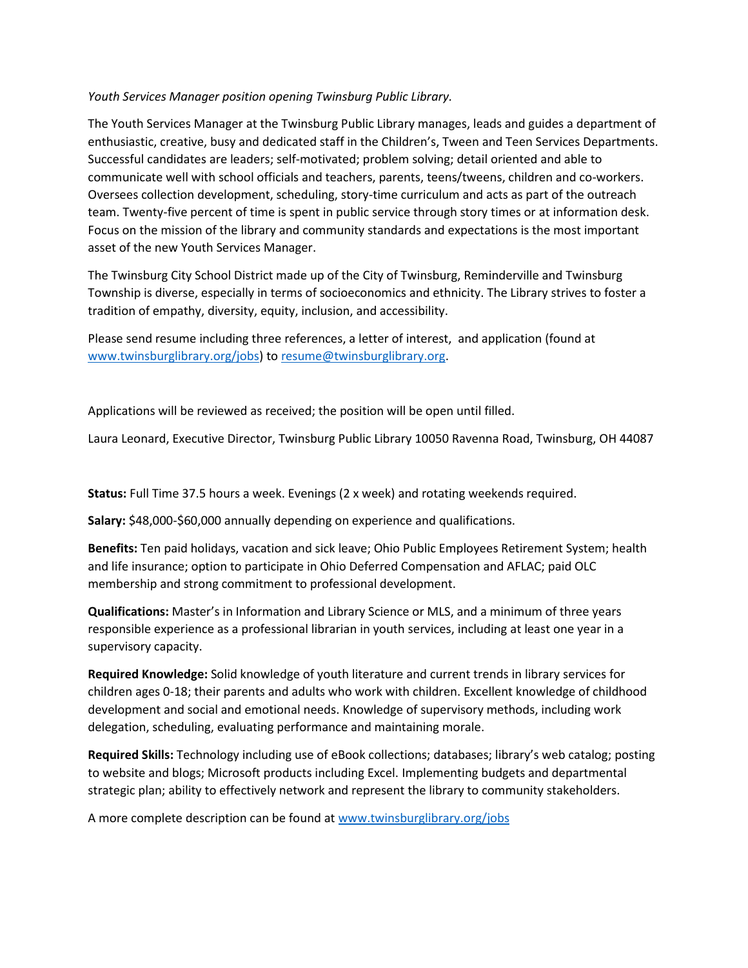# *Youth Services Manager position opening Twinsburg Public Library.*

The Youth Services Manager at the Twinsburg Public Library manages, leads and guides a department of enthusiastic, creative, busy and dedicated staff in the Children's, Tween and Teen Services Departments. Successful candidates are leaders; self-motivated; problem solving; detail oriented and able to communicate well with school officials and teachers, parents, teens/tweens, children and co-workers. Oversees collection development, scheduling, story-time curriculum and acts as part of the outreach team. Twenty-five percent of time is spent in public service through story times or at information desk. Focus on the mission of the library and community standards and expectations is the most important asset of the new Youth Services Manager.

The Twinsburg City School District made up of the City of Twinsburg, Reminderville and Twinsburg Township is diverse, especially in terms of socioeconomics and ethnicity. The Library strives to foster a tradition of empathy, diversity, equity, inclusion, and accessibility.

Please send resume including three references, a letter of interest, and application (found at [www.twinsburglibrary.org/jobs\)](http://www.twinsburglibrary.org/jobs) to [resume@twinsburglibrary.org.](mailto:resume@twinsburglibrary.org)

Applications will be reviewed as received; the position will be open until filled.

Laura Leonard, Executive Director, Twinsburg Public Library 10050 Ravenna Road, Twinsburg, OH 44087

**Status:** Full Time 37.5 hours a week. Evenings (2 x week) and rotating weekends required.

**Salary:** \$48,000-\$60,000 annually depending on experience and qualifications.

**Benefits:** Ten paid holidays, vacation and sick leave; Ohio Public Employees Retirement System; health and life insurance; option to participate in Ohio Deferred Compensation and AFLAC; paid OLC membership and strong commitment to professional development.

**Qualifications:** Master's in Information and Library Science or MLS, and a minimum of three years responsible experience as a professional librarian in youth services, including at least one year in a supervisory capacity.

**Required Knowledge:** Solid knowledge of youth literature and current trends in library services for children ages 0-18; their parents and adults who work with children. Excellent knowledge of childhood development and social and emotional needs. Knowledge of supervisory methods, including work delegation, scheduling, evaluating performance and maintaining morale.

**Required Skills:** Technology including use of eBook collections; databases; library's web catalog; posting to website and blogs; Microsoft products including Excel. Implementing budgets and departmental strategic plan; ability to effectively network and represent the library to community stakeholders.

A more complete description can be found at [www.twinsburglibrary.org/jobs](http://www.twinsburglibrary.org/jobs)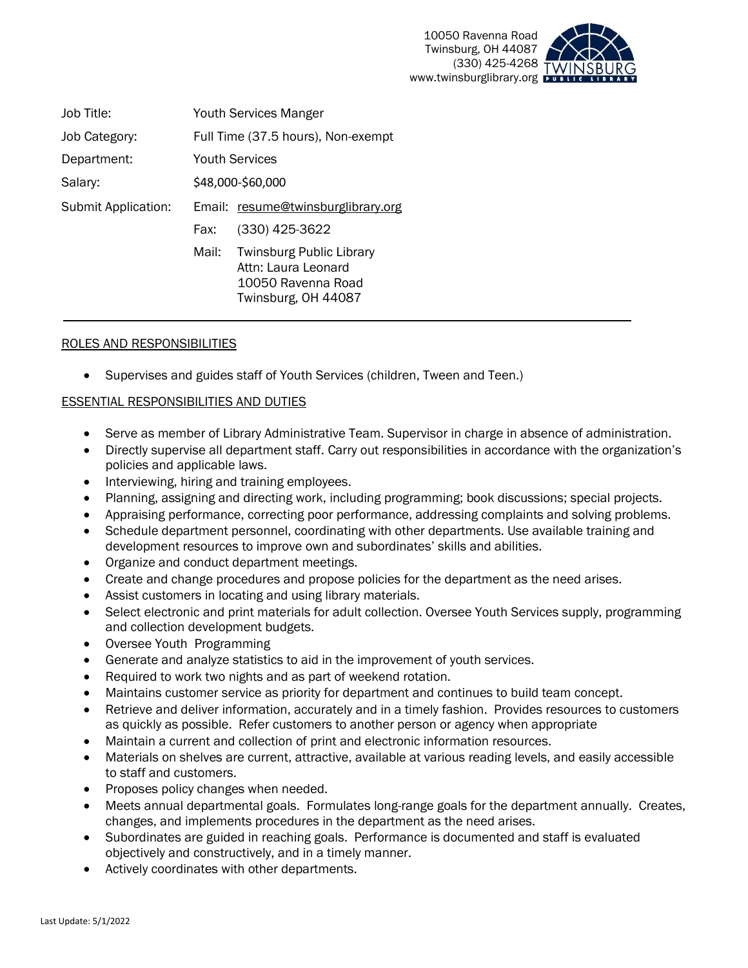

| Job Title:          | Youth Services Manger                                                                                        |  |
|---------------------|--------------------------------------------------------------------------------------------------------------|--|
| Job Category:       | Full Time (37.5 hours), Non-exempt                                                                           |  |
| Department:         | <b>Youth Services</b>                                                                                        |  |
| Salary:             | \$48,000-\$60,000                                                                                            |  |
| Submit Application: | Email: resume@twinsburglibrary.org                                                                           |  |
|                     | (330) 425-3622<br>Fax:                                                                                       |  |
|                     | <b>Twinsburg Public Library</b><br>Mail:<br>Attn: Laura Leonard<br>10050 Ravenna Road<br>Twinsburg, OH 44087 |  |

# ROLES AND RESPONSIBILITIES

• Supervises and guides staff of Youth Services (children, Tween and Teen.)

## ESSENTIAL RESPONSIBILITIES AND DUTIES

- Serve as member of Library Administrative Team. Supervisor in charge in absence of administration.
- Directly supervise all department staff. Carry out responsibilities in accordance with the organization's policies and applicable laws.
- Interviewing, hiring and training employees.
- Planning, assigning and directing work, including programming; book discussions; special projects.
- Appraising performance, correcting poor performance, addressing complaints and solving problems.
- Schedule department personnel, coordinating with other departments. Use available training and development resources to improve own and subordinates' skills and abilities.
- Organize and conduct department meetings.
- Create and change procedures and propose policies for the department as the need arises.
- Assist customers in locating and using library materials.
- Select electronic and print materials for adult collection. Oversee Youth Services supply, programming and collection development budgets.
- Oversee Youth Programming
- Generate and analyze statistics to aid in the improvement of youth services.
- Required to work two nights and as part of weekend rotation.
- Maintains customer service as priority for department and continues to build team concept.
- Retrieve and deliver information, accurately and in a timely fashion. Provides resources to customers as quickly as possible. Refer customers to another person or agency when appropriate
- Maintain a current and collection of print and electronic information resources.
- Materials on shelves are current, attractive, available at various reading levels, and easily accessible to staff and customers.
- Proposes policy changes when needed.
- Meets annual departmental goals. Formulates long-range goals for the department annually. Creates, changes, and implements procedures in the department as the need arises.
- Subordinates are guided in reaching goals. Performance is documented and staff is evaluated objectively and constructively, and in a timely manner.
- Actively coordinates with other departments.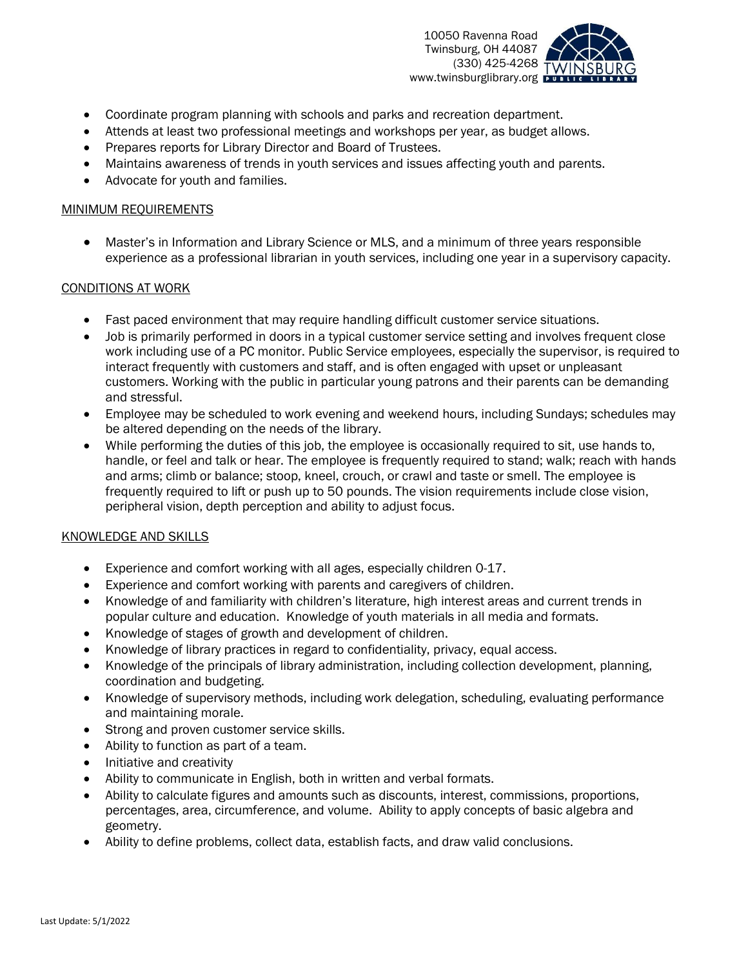

- Coordinate program planning with schools and parks and recreation department.
- Attends at least two professional meetings and workshops per year, as budget allows.
- Prepares reports for Library Director and Board of Trustees.
- Maintains awareness of trends in youth services and issues affecting youth and parents.
- Advocate for youth and families.

## MINIMUM REQUIREMENTS

• Master's in Information and Library Science or MLS, and a minimum of three years responsible experience as a professional librarian in youth services, including one year in a supervisory capacity.

## CONDITIONS AT WORK

- Fast paced environment that may require handling difficult customer service situations.
- Job is primarily performed in doors in a typical customer service setting and involves frequent close work including use of a PC monitor. Public Service employees, especially the supervisor, is required to interact frequently with customers and staff, and is often engaged with upset or unpleasant customers. Working with the public in particular young patrons and their parents can be demanding and stressful.
- Employee may be scheduled to work evening and weekend hours, including Sundays; schedules may be altered depending on the needs of the library.
- While performing the duties of this job, the employee is occasionally required to sit, use hands to, handle, or feel and talk or hear. The employee is frequently required to stand; walk; reach with hands and arms; climb or balance; stoop, kneel, crouch, or crawl and taste or smell. The employee is frequently required to lift or push up to 50 pounds. The vision requirements include close vision, peripheral vision, depth perception and ability to adjust focus.

# KNOWLEDGE AND SKILLS

- Experience and comfort working with all ages, especially children 0-17.
- Experience and comfort working with parents and caregivers of children.
- Knowledge of and familiarity with children's literature, high interest areas and current trends in popular culture and education. Knowledge of youth materials in all media and formats.
- Knowledge of stages of growth and development of children.
- Knowledge of library practices in regard to confidentiality, privacy, equal access.
- Knowledge of the principals of library administration, including collection development, planning, coordination and budgeting.
- Knowledge of supervisory methods, including work delegation, scheduling, evaluating performance and maintaining morale.
- Strong and proven customer service skills.
- Ability to function as part of a team.
- Initiative and creativity
- Ability to communicate in English, both in written and verbal formats.
- Ability to calculate figures and amounts such as discounts, interest, commissions, proportions, percentages, area, circumference, and volume. Ability to apply concepts of basic algebra and geometry.
- Ability to define problems, collect data, establish facts, and draw valid conclusions.